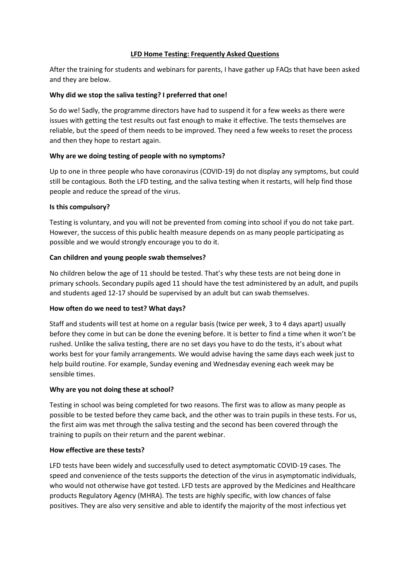### **LFD Home Testing: Frequently Asked Questions**

After the training for students and webinars for parents, I have gather up FAQs that have been asked and they are below.

## **Why did we stop the saliva testing? I preferred that one!**

So do we! Sadly, the programme directors have had to suspend it for a few weeks as there were issues with getting the test results out fast enough to make it effective. The tests themselves are reliable, but the speed of them needs to be improved. They need a few weeks to reset the process and then they hope to restart again.

# **Why are we doing testing of people with no symptoms?**

Up to one in three people who have coronavirus (COVID-19) do not display any symptoms, but could still be contagious. Both the LFD testing, and the saliva testing when it restarts, will help find those people and reduce the spread of the virus.

## **Is this compulsory?**

Testing is voluntary, and you will not be prevented from coming into school if you do not take part. However, the success of this public health measure depends on as many people participating as possible and we would strongly encourage you to do it.

## **Can children and young people swab themselves?**

No children below the age of 11 should be tested. That's why these tests are not being done in primary schools. Secondary pupils aged 11 should have the test administered by an adult, and pupils and students aged 12-17 should be supervised by an adult but can swab themselves.

## **How often do we need to test? What days?**

Staff and students will test at home on a regular basis (twice per week, 3 to 4 days apart) usually before they come in but can be done the evening before. It is better to find a time when it won't be rushed. Unlike the saliva testing, there are no set days you have to do the tests, it's about what works best for your family arrangements. We would advise having the same days each week just to help build routine. For example, Sunday evening and Wednesday evening each week may be sensible times.

## **Why are you not doing these at school?**

Testing in school was being completed for two reasons. The first was to allow as many people as possible to be tested before they came back, and the other was to train pupils in these tests. For us, the first aim was met through the saliva testing and the second has been covered through the training to pupils on their return and the parent webinar.

## **How effective are these tests?**

LFD tests have been widely and successfully used to detect asymptomatic COVID-19 cases. The speed and convenience of the tests supports the detection of the virus in asymptomatic individuals, who would not otherwise have got tested. LFD tests are approved by the Medicines and Healthcare products Regulatory Agency (MHRA). The tests are highly specific, with low chances of false positives. They are also very sensitive and able to identify the majority of the most infectious yet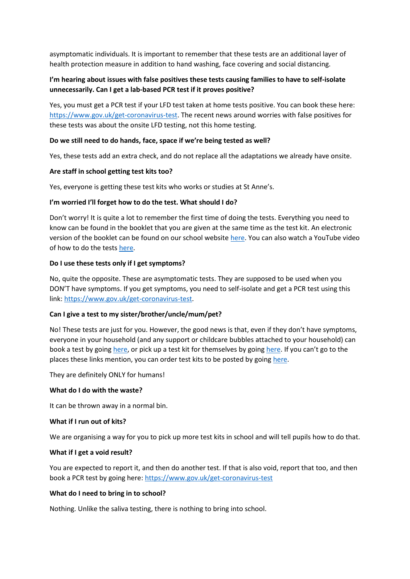asymptomatic individuals. It is important to remember that these tests are an additional layer of health protection measure in addition to hand washing, face covering and social distancing.

# **I'm hearing about issues with false positives these tests causing families to have to self-isolate unnecessarily. Can I get a lab-based PCR test if it proves positive?**

Yes, you must get a PCR test if your LFD test taken at home tests positive. You can book these here: [https://www.gov.uk/get-coronavirus-test.](https://www.gov.uk/get-coronavirus-test) The recent news around worries with false positives for these tests was about the onsite LFD testing, not this home testing.

### **Do we still need to do hands, face, space if we're being tested as well?**

Yes, these tests add an extra check, and do not replace all the adaptations we already have onsite.

#### **Are staff in school getting test kits too?**

Yes, everyone is getting these test kits who works or studies at St Anne's.

#### **I'm worried I'll forget how to do the test. What should I do?**

Don't worry! It is quite a lot to remember the first time of doing the tests. Everything you need to know can be found in the booklet that you are given at the same time as the test kit. An electronic version of the booklet can be found on our school websit[e here.](https://st-annes-soton.eschools.co.uk/web/asymptomatic_lateral_flow_device_home_testing/548170) You can also watch a YouTube video of how to do the tests [here.](https://youtu.be/S9XR8RZxKNo)

#### **Do I use these tests only if I get symptoms?**

No, quite the opposite. These are asymptomatic tests. They are supposed to be used when you DON'T have symptoms. If you get symptoms, you need to self-isolate and get a PCR test using this link: [https://www.gov.uk/get-coronavirus-test.](https://www.gov.uk/get-coronavirus-test)

### **Can I give a test to my sister/brother/uncle/mum/pet?**

No! These tests are just for you. However, the good news is that, even if they don't have symptoms, everyone in your household (and any support or childcare bubbles attached to your household) can book a test by goin[g here,](http://www.southampton.gov.uk/coronavirus-covid19/covid-testing/symptom-free-testing.aspx) or pick up a test kit for themselves by going [here](https://find-covid-19-rapid-test-sites.maps.test-and-trace.nhs.uk/). If you can't go to the places these links mention, you can order test kits to be posted by goin[g here.](https://www.gov.uk/order-coronavirus-rapid-lateral-flow-tests)

They are definitely ONLY for humans!

#### **What do I do with the waste?**

It can be thrown away in a normal bin.

#### **What if I run out of kits?**

We are organising a way for you to pick up more test kits in school and will tell pupils how to do that.

#### **What if I get a void result?**

You are expected to report it, and then do another test. If that is also void, report that too, and then book a PCR test by going here:<https://www.gov.uk/get-coronavirus-test>

#### **What do I need to bring in to school?**

Nothing. Unlike the saliva testing, there is nothing to bring into school.